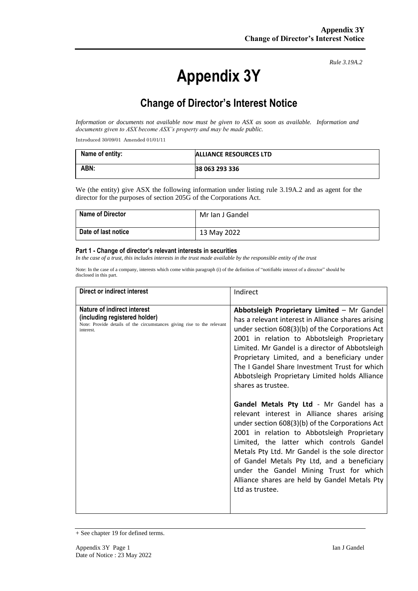# **Appendix 3Y**

*Rule 3.19A.2*

# **Change of Director's Interest Notice**

*Information or documents not available now must be given to ASX as soon as available. Information and documents given to ASX become ASX's property and may be made public.*

Introduced 30/09/01 Amended 01/01/11

| Name of entity: | <b>ALLIANCE RESOURCES LTD</b> |
|-----------------|-------------------------------|
| ABN:            | 38 063 293 336                |

We (the entity) give ASX the following information under listing rule 3.19A.2 and as agent for the director for the purposes of section 205G of the Corporations Act.

| <b>Name of Director</b> | Mr Ian J Gandel |
|-------------------------|-----------------|
| Date of last notice     | 13 May 2022     |

#### **Part 1 - Change of director's relevant interests in securities**

*In the case of a trust, this includes interests in the trust made available by the responsible entity of the trust*

Note: In the case of a company, interests which come within paragraph (i) of the definition of "notifiable interest of a director" should be disclosed in this part.

| Direct or indirect interest                                                                                                                         | Indirect                                                                                                                                                                                                                                                                                                                                                                                                                                                                                                                                                                                                                                                                                                                                                                                                                                                                                  |
|-----------------------------------------------------------------------------------------------------------------------------------------------------|-------------------------------------------------------------------------------------------------------------------------------------------------------------------------------------------------------------------------------------------------------------------------------------------------------------------------------------------------------------------------------------------------------------------------------------------------------------------------------------------------------------------------------------------------------------------------------------------------------------------------------------------------------------------------------------------------------------------------------------------------------------------------------------------------------------------------------------------------------------------------------------------|
| Nature of indirect interest<br>(including registered holder)<br>Note: Provide details of the circumstances giving rise to the relevant<br>interest. | Abbotsleigh Proprietary Limited - Mr Gandel<br>has a relevant interest in Alliance shares arising<br>under section 608(3)(b) of the Corporations Act<br>2001 in relation to Abbotsleigh Proprietary<br>Limited. Mr Gandel is a director of Abbotsleigh<br>Proprietary Limited, and a beneficiary under<br>The I Gandel Share Investment Trust for which<br>Abbotsleigh Proprietary Limited holds Alliance<br>shares as trustee.<br>Gandel Metals Pty Ltd - Mr Gandel has a<br>relevant interest in Alliance shares arising<br>under section 608(3)(b) of the Corporations Act<br>2001 in relation to Abbotsleigh Proprietary<br>Limited, the latter which controls Gandel<br>Metals Pty Ltd. Mr Gandel is the sole director<br>of Gandel Metals Pty Ltd, and a beneficiary<br>under the Gandel Mining Trust for which<br>Alliance shares are held by Gandel Metals Pty<br>Ltd as trustee. |

<sup>+</sup> See chapter 19 for defined terms.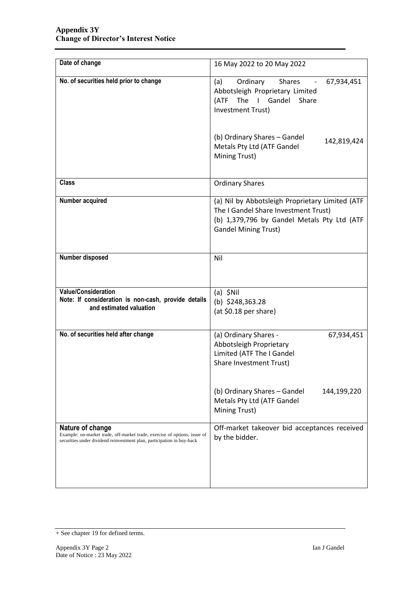| Date of change                                                                                                                                                          | 16 May 2022 to 20 May 2022                                                                                                                                            |  |
|-------------------------------------------------------------------------------------------------------------------------------------------------------------------------|-----------------------------------------------------------------------------------------------------------------------------------------------------------------------|--|
| No. of securities held prior to change                                                                                                                                  | Ordinary<br><b>Shares</b><br>(a)<br>67,934,451<br>Abbotsleigh Proprietary Limited<br>The I Gandel Share<br>(ATF<br>Investment Trust)                                  |  |
|                                                                                                                                                                         | (b) Ordinary Shares - Gandel<br>142,819,424<br>Metals Pty Ltd (ATF Gandel<br>Mining Trust)                                                                            |  |
| <b>Class</b>                                                                                                                                                            | <b>Ordinary Shares</b>                                                                                                                                                |  |
| Number acquired                                                                                                                                                         | (a) Nil by Abbotsleigh Proprietary Limited (ATF<br>The I Gandel Share Investment Trust)<br>(b) 1,379,796 by Gandel Metals Pty Ltd (ATF<br><b>Gandel Mining Trust)</b> |  |
| Number disposed                                                                                                                                                         | Nil                                                                                                                                                                   |  |
| <b>Value/Consideration</b><br>Note: If consideration is non-cash, provide details<br>and estimated valuation                                                            | $(a)$ \$Nil<br>(b) $$248,363.28$<br>(at \$0.18 per share)                                                                                                             |  |
| No. of securities held after change                                                                                                                                     | (a) Ordinary Shares -<br>67,934,451<br>Abbotsleigh Proprietary<br>Limited (ATF The I Gandel<br>Share Investment Trust)                                                |  |
|                                                                                                                                                                         | (b) Ordinary Shares - Gandel<br>144,199,220<br>Metals Pty Ltd (ATF Gandel<br>Mining Trust)                                                                            |  |
| Nature of change<br>Example: on-market trade, off-market trade, exercise of options, issue of<br>securities under dividend reinvestment plan, participation in buy-back | Off-market takeover bid acceptances received<br>by the bidder.                                                                                                        |  |

<sup>+</sup> See chapter 19 for defined terms.